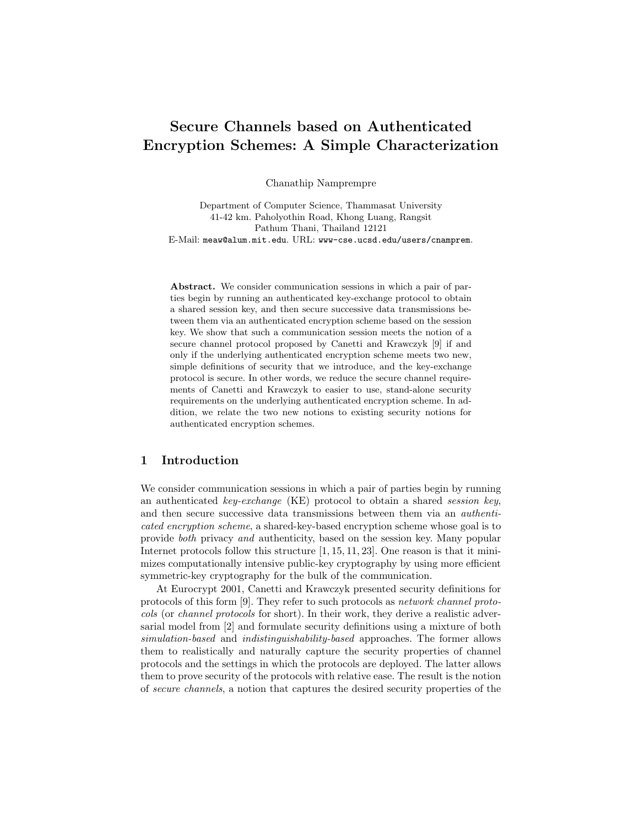# Secure Channels based on Authenticated Encryption Schemes: A Simple Characterization

Chanathip Namprempre

Department of Computer Science, Thammasat University 41-42 km. Paholyothin Road, Khong Luang, Rangsit Pathum Thani, Thailand 12121 E-Mail: meaw@alum.mit.edu. URL: www-cse.ucsd.edu/users/cnamprem.

Abstract. We consider communication sessions in which a pair of parties begin by running an authenticated key-exchange protocol to obtain a shared session key, and then secure successive data transmissions between them via an authenticated encryption scheme based on the session key. We show that such a communication session meets the notion of a secure channel protocol proposed by Canetti and Krawczyk [9] if and only if the underlying authenticated encryption scheme meets two new, simple definitions of security that we introduce, and the key-exchange protocol is secure. In other words, we reduce the secure channel requirements of Canetti and Krawczyk to easier to use, stand-alone security requirements on the underlying authenticated encryption scheme. In addition, we relate the two new notions to existing security notions for authenticated encryption schemes.

## 1 Introduction

We consider communication sessions in which a pair of parties begin by running an authenticated key-exchange (KE) protocol to obtain a shared session key, and then secure successive data transmissions between them via an authenticated encryption scheme, a shared-key-based encryption scheme whose goal is to provide both privacy and authenticity, based on the session key. Many popular Internet protocols follow this structure  $[1, 15, 11, 23]$ . One reason is that it minimizes computationally intensive public-key cryptography by using more efficient symmetric-key cryptography for the bulk of the communication.

At Eurocrypt 2001, Canetti and Krawczyk presented security definitions for protocols of this form [9]. They refer to such protocols as network channel protocols (or channel protocols for short). In their work, they derive a realistic adversarial model from [2] and formulate security definitions using a mixture of both simulation-based and indistinguishability-based approaches. The former allows them to realistically and naturally capture the security properties of channel protocols and the settings in which the protocols are deployed. The latter allows them to prove security of the protocols with relative ease. The result is the notion of secure channels, a notion that captures the desired security properties of the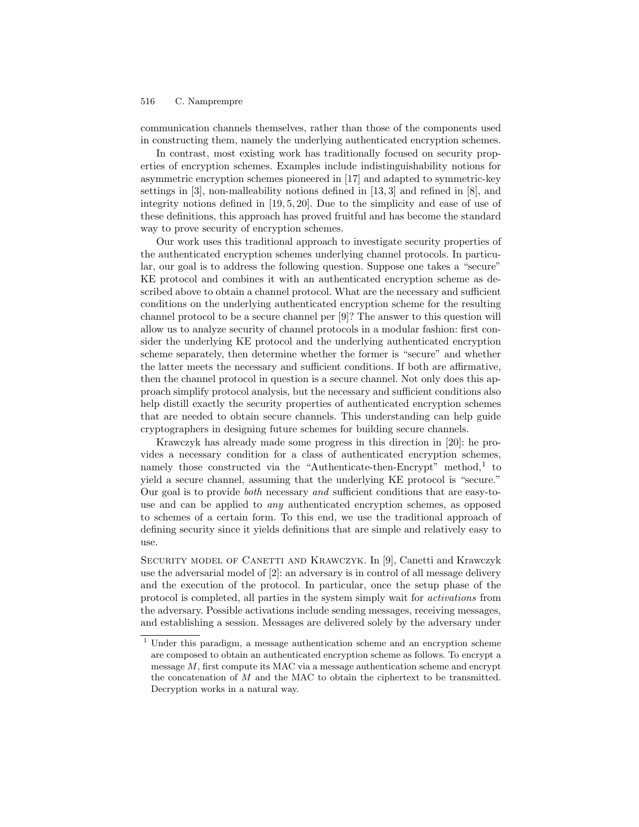communication channels themselves, rather than those of the components used in constructing them, namely the underlying authenticated encryption schemes.

In contrast, most existing work has traditionally focused on security properties of encryption schemes. Examples include indistinguishability notions for asymmetric encryption schemes pioneered in [17] and adapted to symmetric-key settings in [3], non-malleability notions defined in [13, 3] and refined in [8], and integrity notions defined in [19, 5, 20]. Due to the simplicity and ease of use of these definitions, this approach has proved fruitful and has become the standard way to prove security of encryption schemes.

Our work uses this traditional approach to investigate security properties of the authenticated encryption schemes underlying channel protocols. In particular, our goal is to address the following question. Suppose one takes a "secure" KE protocol and combines it with an authenticated encryption scheme as described above to obtain a channel protocol. What are the necessary and sufficient conditions on the underlying authenticated encryption scheme for the resulting channel protocol to be a secure channel per [9]? The answer to this question will allow us to analyze security of channel protocols in a modular fashion: first consider the underlying KE protocol and the underlying authenticated encryption scheme separately, then determine whether the former is "secure" and whether the latter meets the necessary and sufficient conditions. If both are affirmative, then the channel protocol in question is a secure channel. Not only does this approach simplify protocol analysis, but the necessary and sufficient conditions also help distill exactly the security properties of authenticated encryption schemes that are needed to obtain secure channels. This understanding can help guide cryptographers in designing future schemes for building secure channels.

Krawczyk has already made some progress in this direction in [20]: he provides a necessary condition for a class of authenticated encryption schemes, namely those constructed via the "Authenticate-then-Encrypt" method,<sup>1</sup> to yield a secure channel, assuming that the underlying KE protocol is "secure." Our goal is to provide both necessary and sufficient conditions that are easy-touse and can be applied to any authenticated encryption schemes, as opposed to schemes of a certain form. To this end, we use the traditional approach of defining security since it yields definitions that are simple and relatively easy to use.

SECURITY MODEL OF CANETTI AND KRAWCZYK. In [9], Canetti and Krawczyk use the adversarial model of [2]: an adversary is in control of all message delivery and the execution of the protocol. In particular, once the setup phase of the protocol is completed, all parties in the system simply wait for activations from the adversary. Possible activations include sending messages, receiving messages, and establishing a session. Messages are delivered solely by the adversary under

<sup>1</sup> Under this paradigm, a message authentication scheme and an encryption scheme are composed to obtain an authenticated encryption scheme as follows. To encrypt a message M, first compute its MAC via a message authentication scheme and encrypt the concatenation of  $M$  and the MAC to obtain the ciphertext to be transmitted. Decryption works in a natural way.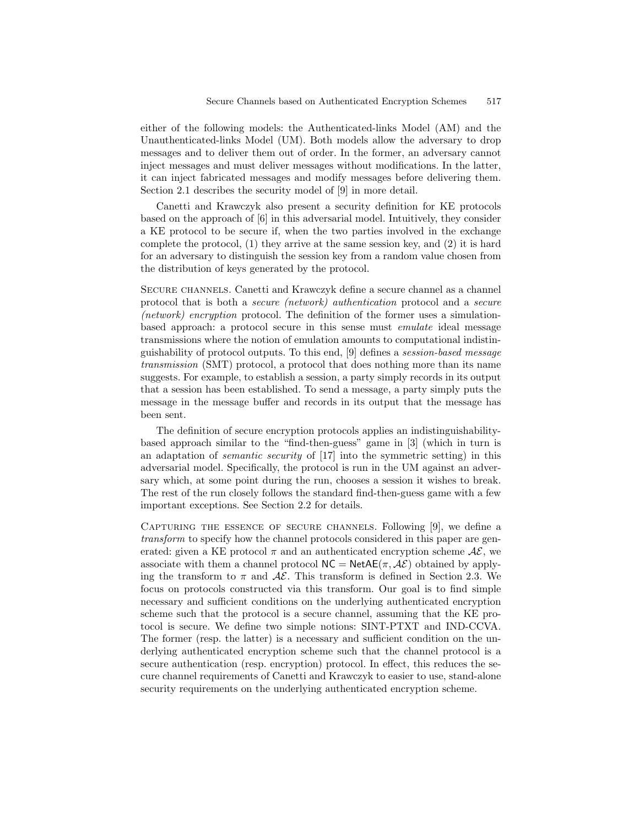either of the following models: the Authenticated-links Model (AM) and the Unauthenticated-links Model (UM). Both models allow the adversary to drop messages and to deliver them out of order. In the former, an adversary cannot inject messages and must deliver messages without modifications. In the latter, it can inject fabricated messages and modify messages before delivering them. Section 2.1 describes the security model of [9] in more detail.

Canetti and Krawczyk also present a security definition for KE protocols based on the approach of [6] in this adversarial model. Intuitively, they consider a KE protocol to be secure if, when the two parties involved in the exchange complete the protocol, (1) they arrive at the same session key, and (2) it is hard for an adversary to distinguish the session key from a random value chosen from the distribution of keys generated by the protocol.

Secure channels. Canetti and Krawczyk define a secure channel as a channel protocol that is both a secure (network) authentication protocol and a secure (network) encryption protocol. The definition of the former uses a simulationbased approach: a protocol secure in this sense must emulate ideal message transmissions where the notion of emulation amounts to computational indistinguishability of protocol outputs. To this end, [9] defines a session-based message transmission (SMT) protocol, a protocol that does nothing more than its name suggests. For example, to establish a session, a party simply records in its output that a session has been established. To send a message, a party simply puts the message in the message buffer and records in its output that the message has been sent.

The definition of secure encryption protocols applies an indistinguishabilitybased approach similar to the "find-then-guess" game in [3] (which in turn is an adaptation of semantic security of [17] into the symmetric setting) in this adversarial model. Specifically, the protocol is run in the UM against an adversary which, at some point during the run, chooses a session it wishes to break. The rest of the run closely follows the standard find-then-guess game with a few important exceptions. See Section 2.2 for details.

Capturing the essence of secure channels. Following [9], we define a transform to specify how the channel protocols considered in this paper are generated: given a KE protocol  $\pi$  and an authenticated encryption scheme  $\mathcal{AE}$ , we associate with them a channel protocol  $NC = \text{NetAE}(\pi, \mathcal{AE})$  obtained by applying the transform to  $\pi$  and  $\mathcal{AE}$ . This transform is defined in Section 2.3. We focus on protocols constructed via this transform. Our goal is to find simple necessary and sufficient conditions on the underlying authenticated encryption scheme such that the protocol is a secure channel, assuming that the KE protocol is secure. We define two simple notions: SINT-PTXT and IND-CCVA. The former (resp. the latter) is a necessary and sufficient condition on the underlying authenticated encryption scheme such that the channel protocol is a secure authentication (resp. encryption) protocol. In effect, this reduces the secure channel requirements of Canetti and Krawczyk to easier to use, stand-alone security requirements on the underlying authenticated encryption scheme.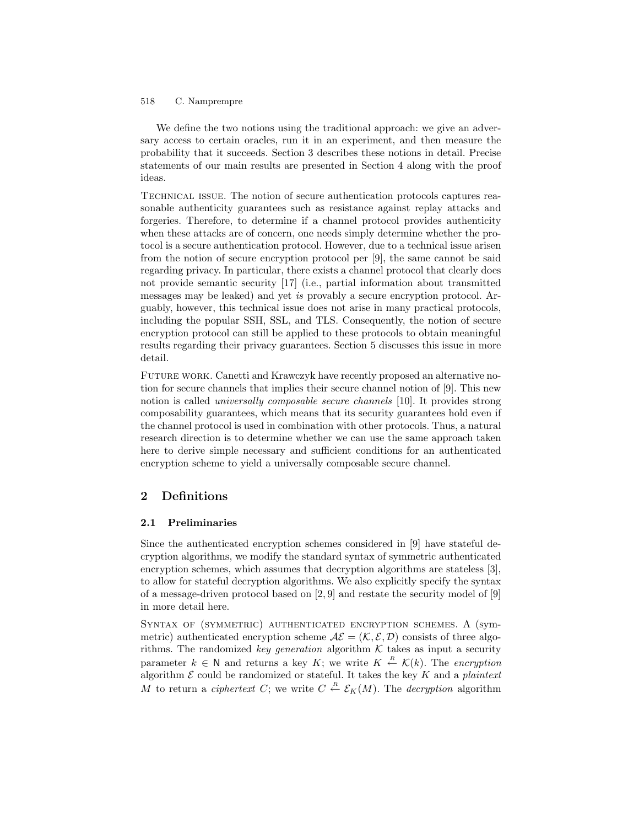We define the two notions using the traditional approach: we give an adversary access to certain oracles, run it in an experiment, and then measure the probability that it succeeds. Section 3 describes these notions in detail. Precise statements of our main results are presented in Section 4 along with the proof ideas.

Technical issue. The notion of secure authentication protocols captures reasonable authenticity guarantees such as resistance against replay attacks and forgeries. Therefore, to determine if a channel protocol provides authenticity when these attacks are of concern, one needs simply determine whether the protocol is a secure authentication protocol. However, due to a technical issue arisen from the notion of secure encryption protocol per [9], the same cannot be said regarding privacy. In particular, there exists a channel protocol that clearly does not provide semantic security [17] (i.e., partial information about transmitted messages may be leaked) and yet is provably a secure encryption protocol. Arguably, however, this technical issue does not arise in many practical protocols, including the popular SSH, SSL, and TLS. Consequently, the notion of secure encryption protocol can still be applied to these protocols to obtain meaningful results regarding their privacy guarantees. Section 5 discusses this issue in more detail.

FUTURE WORK. Canetti and Krawczyk have recently proposed an alternative notion for secure channels that implies their secure channel notion of [9]. This new notion is called universally composable secure channels [10]. It provides strong composability guarantees, which means that its security guarantees hold even if the channel protocol is used in combination with other protocols. Thus, a natural research direction is to determine whether we can use the same approach taken here to derive simple necessary and sufficient conditions for an authenticated encryption scheme to yield a universally composable secure channel.

# 2 Definitions

#### 2.1 Preliminaries

Since the authenticated encryption schemes considered in [9] have stateful decryption algorithms, we modify the standard syntax of symmetric authenticated encryption schemes, which assumes that decryption algorithms are stateless [3], to allow for stateful decryption algorithms. We also explicitly specify the syntax of a message-driven protocol based on [2, 9] and restate the security model of [9] in more detail here.

Syntax of (symmetric) authenticated encryption schemes. A (symmetric) authenticated encryption scheme  $A\mathcal{E} = (\mathcal{K}, \mathcal{E}, \mathcal{D})$  consists of three algorithms. The randomized key generation algorithm  $K$  takes as input a security parameter  $k \in \mathbb{N}$  and returns a key K; we write  $K \stackrel{R}{\leftarrow} \mathcal{K}(k)$ . The encryption algorithm  $\mathcal E$  could be randomized or stateful. It takes the key K and a plaintext M to return a *ciphertext* C; we write  $C \stackrel{R}{\leftarrow} \mathcal{E}_K(M)$ . The *decryption* algorithm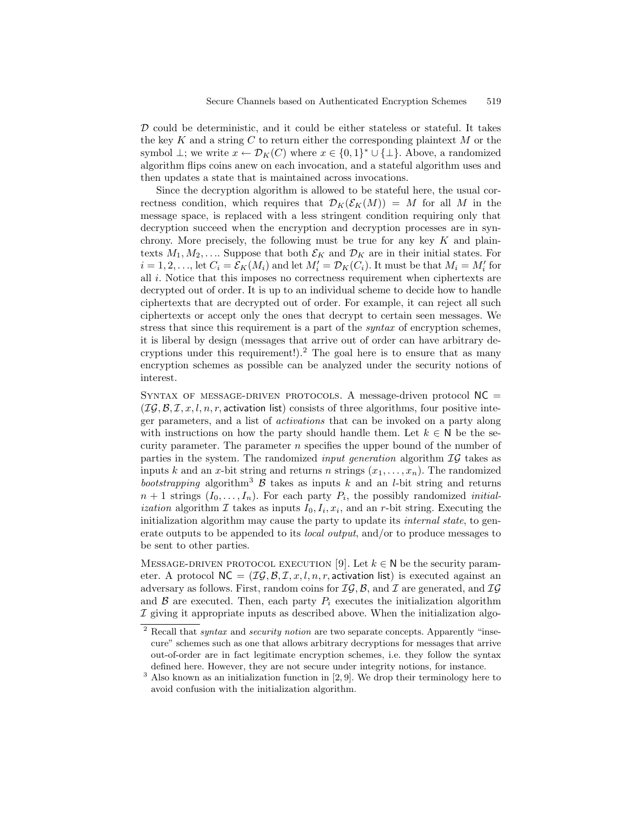D could be deterministic, and it could be either stateless or stateful. It takes the key  $K$  and a string  $C$  to return either the corresponding plaintext  $M$  or the symbol  $\bot$ ; we write  $x \leftarrow \mathcal{D}_K(C)$  where  $x \in \{0,1\}^* \cup \{\bot\}$ . Above, a randomized algorithm flips coins anew on each invocation, and a stateful algorithm uses and then updates a state that is maintained across invocations.

Since the decryption algorithm is allowed to be stateful here, the usual correctness condition, which requires that  $\mathcal{D}_K(\mathcal{E}_K(M)) = M$  for all M in the message space, is replaced with a less stringent condition requiring only that decryption succeed when the encryption and decryption processes are in synchrony. More precisely, the following must be true for any key  $K$  and plaintexts  $M_1, M_2, \ldots$  Suppose that both  $\mathcal{E}_K$  and  $\mathcal{D}_K$  are in their initial states. For  $i = 1, 2, \ldots$ , let  $C_i = \mathcal{E}_K(M_i)$  and let  $M'_i = \mathcal{D}_K(C_i)$ . It must be that  $M_i = M'_i$  for all i. Notice that this imposes no correctness requirement when ciphertexts are decrypted out of order. It is up to an individual scheme to decide how to handle ciphertexts that are decrypted out of order. For example, it can reject all such ciphertexts or accept only the ones that decrypt to certain seen messages. We stress that since this requirement is a part of the *syntax* of encryption schemes, it is liberal by design (messages that arrive out of order can have arbitrary decryptions under this requirement!).<sup>2</sup> The goal here is to ensure that as many encryption schemes as possible can be analyzed under the security notions of interest.

SYNTAX OF MESSAGE-DRIVEN PROTOCOLS. A message-driven protocol  $NC =$  $(\mathcal{IG}, \mathcal{B}, \mathcal{I}, x, l, n, r)$ , activation list) consists of three algorithms, four positive integer parameters, and a list of activations that can be invoked on a party along with instructions on how the party should handle them. Let  $k \in N$  be the security parameter. The parameter  $n$  specifies the upper bound of the number of parties in the system. The randomized *input generation* algorithm  $IG$  takes as inputs k and an x-bit string and returns n strings  $(x_1, \ldots, x_n)$ . The randomized bootstrapping algorithm<sup>3</sup>  $\beta$  takes as inputs k and an l-bit string and returns  $n+1$  strings  $(I_0, \ldots, I_n)$ . For each party  $P_i$ , the possibly randomized *initialization* algorithm  $\mathcal I$  takes as inputs  $I_0, I_i, x_i$ , and an r-bit string. Executing the initialization algorithm may cause the party to update its *internal state*, to generate outputs to be appended to its local output, and/or to produce messages to be sent to other parties.

MESSAGE-DRIVEN PROTOCOL EXECUTION [9]. Let  $k \in \mathbb{N}$  be the security parameter. A protocol  $NC = (\mathcal{IG}, \mathcal{B}, \mathcal{I}, x, l, n, r,$  activation list) is executed against an adversary as follows. First, random coins for  $IG, B$ , and  $I$  are generated, and  $IG$ and  $\beta$  are executed. Then, each party  $P_i$  executes the initialization algorithm  $I$  giving it appropriate inputs as described above. When the initialization algo-

<sup>&</sup>lt;sup>2</sup> Recall that *syntax* and *security notion* are two separate concepts. Apparently "insecure" schemes such as one that allows arbitrary decryptions for messages that arrive out-of-order are in fact legitimate encryption schemes, i.e. they follow the syntax defined here. However, they are not secure under integrity notions, for instance.

 $3$  Also known as an initialization function in [2, 9]. We drop their terminology here to avoid confusion with the initialization algorithm.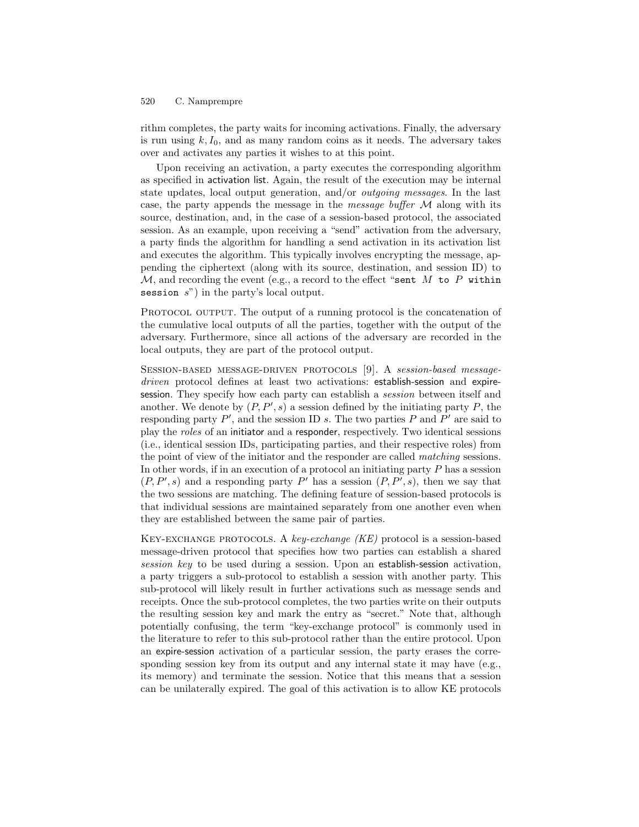rithm completes, the party waits for incoming activations. Finally, the adversary is run using  $k, I_0$ , and as many random coins as it needs. The adversary takes over and activates any parties it wishes to at this point.

Upon receiving an activation, a party executes the corresponding algorithm as specified in activation list. Again, the result of the execution may be internal state updates, local output generation, and/or outgoing messages. In the last case, the party appends the message in the message buffer  $M$  along with its source, destination, and, in the case of a session-based protocol, the associated session. As an example, upon receiving a "send" activation from the adversary, a party finds the algorithm for handling a send activation in its activation list and executes the algorithm. This typically involves encrypting the message, appending the ciphertext (along with its source, destination, and session ID) to  $M$ , and recording the event (e.g., a record to the effect "sent M to P within session s") in the party's local output.

PROTOCOL OUTPUT. The output of a running protocol is the concatenation of the cumulative local outputs of all the parties, together with the output of the adversary. Furthermore, since all actions of the adversary are recorded in the local outputs, they are part of the protocol output.

Session-based message-driven protocols [9]. A session-based messagedriven protocol defines at least two activations: establish-session and expiresession. They specify how each party can establish a session between itself and another. We denote by  $(P, P', s)$  a session defined by the initiating party P, the responding party  $P'$ , and the session ID s. The two parties P and  $P'$  are said to play the roles of an initiator and a responder, respectively. Two identical sessions (i.e., identical session IDs, participating parties, and their respective roles) from the point of view of the initiator and the responder are called matching sessions. In other words, if in an execution of a protocol an initiating party  $P$  has a session  $(P, P', s)$  and a responding party P' has a session  $(P, P', s)$ , then we say that the two sessions are matching. The defining feature of session-based protocols is that individual sessions are maintained separately from one another even when they are established between the same pair of parties.

Key-exchange protocols. A key-exchange (KE) protocol is a session-based message-driven protocol that specifies how two parties can establish a shared session key to be used during a session. Upon an establish-session activation, a party triggers a sub-protocol to establish a session with another party. This sub-protocol will likely result in further activations such as message sends and receipts. Once the sub-protocol completes, the two parties write on their outputs the resulting session key and mark the entry as "secret." Note that, although potentially confusing, the term "key-exchange protocol" is commonly used in the literature to refer to this sub-protocol rather than the entire protocol. Upon an expire-session activation of a particular session, the party erases the corresponding session key from its output and any internal state it may have (e.g., its memory) and terminate the session. Notice that this means that a session can be unilaterally expired. The goal of this activation is to allow KE protocols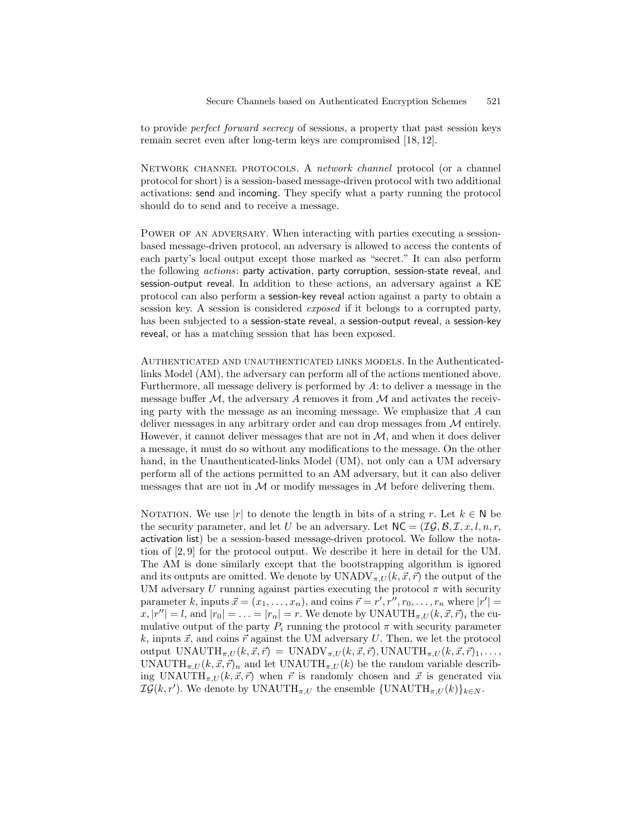to provide perfect forward secrecy of sessions, a property that past session keys remain secret even after long-term keys are compromised [18, 12].

NETWORK CHANNEL PROTOCOLS. A *network channel* protocol (or a channel protocol for short) is a session-based message-driven protocol with two additional activations: send and incoming. They specify what a party running the protocol should do to send and to receive a message.

POWER OF AN ADVERSARY. When interacting with parties executing a sessionbased message-driven protocol, an adversary is allowed to access the contents of each party's local output except those marked as "secret." It can also perform the following *actions*: party activation, party corruption, session-state reveal, and session-output reveal. In addition to these actions, an adversary against a KE protocol can also perform a session-key reveal action against a party to obtain a session key. A session is considered exposed if it belongs to a corrupted party, has been subjected to a session-state reveal, a session-output reveal, a session-key reveal, or has a matching session that has been exposed.

Authenticated and unauthenticated links models. In the Authenticatedlinks Model (AM), the adversary can perform all of the actions mentioned above. Furthermore, all message delivery is performed by A: to deliver a message in the message buffer  $M$ , the adversary A removes it from  $M$  and activates the receiving party with the message as an incoming message. We emphasize that  $A$  can deliver messages in any arbitrary order and can drop messages from  $M$  entirely. However, it cannot deliver messages that are not in  $M$ , and when it does deliver a message, it must do so without any modifications to the message. On the other hand, in the Unauthenticated-links Model (UM), not only can a UM adversary perform all of the actions permitted to an AM adversary, but it can also deliver messages that are not in  $M$  or modify messages in  $M$  before delivering them.

NOTATION. We use |r| to denote the length in bits of a string r. Let  $k \in \mathbb{N}$  be the security parameter, and let U be an adversary. Let  $NC = (\mathcal{IG}, \mathcal{B}, \mathcal{I}, x, l, n, r, \mathcal{I})$ activation list) be a session-based message-driven protocol. We follow the notation of [2, 9] for the protocol output. We describe it here in detail for the UM. The AM is done similarly except that the bootstrapping algorithm is ignored and its outputs are omitted. We denote by  $UNADV_{\pi,U}(k, \vec{x}, \vec{r})$  the output of the UM adversary U running against parties executing the protocol  $\pi$  with security parameter k, inputs  $\vec{x} = (x_1, \ldots, x_n)$ , and coins  $\vec{r} = r', r'', r_0, \ldots, r_n$  where  $|r'| =$  $x, |r''| = l$ , and  $|r_0| = \ldots = |r_n| = r$ . We denote by  $\text{UNAUTH}_{\pi,U}(k, \vec{x}, \vec{r})_i$  the cumulative output of the party  $P_i$  running the protocol  $\pi$  with security parameter k, inputs  $\vec{x}$ , and coins  $\vec{r}$  against the UM adversary U. Then, we let the protocol output UNAUTH $_{\pi,U}(k, \vec{x}, \vec{r}) = \text{UNADV}_{\pi,U}(k, \vec{x}, \vec{r})$ , UNAUTH $_{\pi,U}(k, \vec{x}, \vec{r})_1, \ldots$ , UNAUTH $_{\pi,U}(k, \vec{x}, \vec{r})_n$  and let UNAUTH $_{\pi,U}(k)$  be the random variable describing UNAUTH<sub> $\pi, U(k, \vec{x}, \vec{r})$  when  $\vec{r}$  is randomly chosen and  $\vec{x}$  is generated via</sub>  $IG(k, r')$ . We denote by UNAUTH<sub> $\pi, U$ </sub> the ensemble  $\{\text{UNAUTH}_{\pi, U}(k)\}_{k \in N}$ .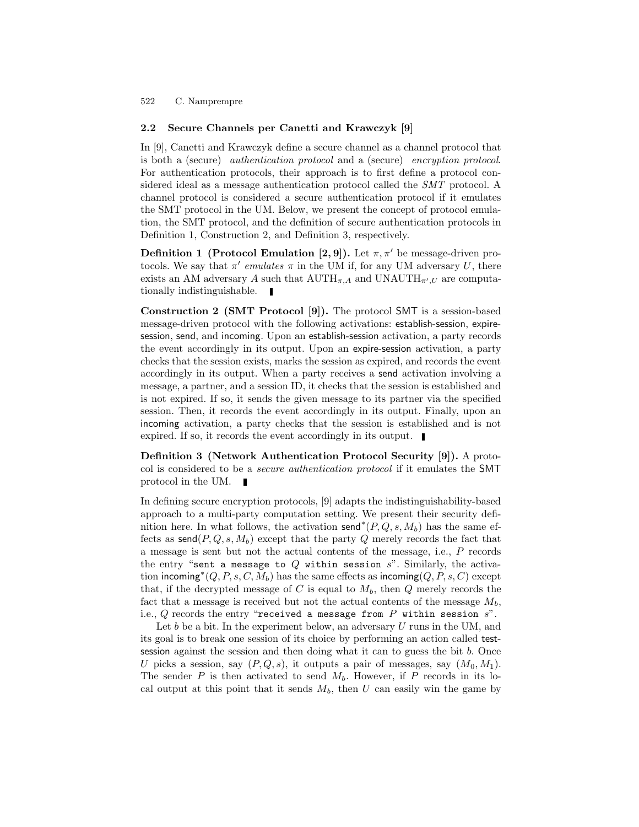#### 2.2 Secure Channels per Canetti and Krawczyk [9]

In [9], Canetti and Krawczyk define a secure channel as a channel protocol that is both a (secure) authentication protocol and a (secure) encryption protocol. For authentication protocols, their approach is to first define a protocol considered ideal as a message authentication protocol called the SMT protocol. A channel protocol is considered a secure authentication protocol if it emulates the SMT protocol in the UM. Below, we present the concept of protocol emulation, the SMT protocol, and the definition of secure authentication protocols in Definition 1, Construction 2, and Definition 3, respectively.

Definition 1 (Protocol Emulation [2,9]). Let  $\pi, \pi'$  be message-driven protocols. We say that  $\pi'$  emulates  $\pi$  in the UM if, for any UM adversary U, there exists an AM adversary A such that  $\text{AUTH}_{\pi,A}$  and  $\text{UNAUTH}_{\pi',U}$  are computationally indistinguishable.

Construction 2 (SMT Protocol [9]). The protocol SMT is a session-based message-driven protocol with the following activations: establish-session, expiresession, send, and incoming. Upon an establish-session activation, a party records the event accordingly in its output. Upon an expire-session activation, a party checks that the session exists, marks the session as expired, and records the event accordingly in its output. When a party receives a send activation involving a message, a partner, and a session ID, it checks that the session is established and is not expired. If so, it sends the given message to its partner via the specified session. Then, it records the event accordingly in its output. Finally, upon an incoming activation, a party checks that the session is established and is not expired. If so, it records the event accordingly in its output.  $\blacksquare$ 

Definition 3 (Network Authentication Protocol Security [9]). A protocol is considered to be a secure authentication protocol if it emulates the SMT protocol in the UM. П

In defining secure encryption protocols, [9] adapts the indistinguishability-based approach to a multi-party computation setting. We present their security definition here. In what follows, the activation send<sup>\*</sup> $(P,Q,s,M_b)$  has the same effects as  $\text{send}(P, Q, s, M_b)$  except that the party Q merely records the fact that a message is sent but not the actual contents of the message, i.e., P records the entry "sent a message to  $Q$  within session  $s$ ". Similarly, the activation incoming\* $(Q, P, s, C, M_b)$  has the same effects as incoming $(Q, \tilde{P}, s, C)$  except that, if the decrypted message of C is equal to  $M_b$ , then Q merely records the fact that a message is received but not the actual contents of the message  $M_b$ , i.e.,  $Q$  records the entry "received a message from  $P$  within session  $s$ ".

Let  $b$  be a bit. In the experiment below, an adversary  $U$  runs in the UM, and its goal is to break one session of its choice by performing an action called testsession against the session and then doing what it can to guess the bit b. Once U picks a session, say  $(P,Q,s)$ , it outputs a pair of messages, say  $(M_0, M_1)$ . The sender P is then activated to send  $M_b$ . However, if P records in its local output at this point that it sends  $M_b$ , then U can easily win the game by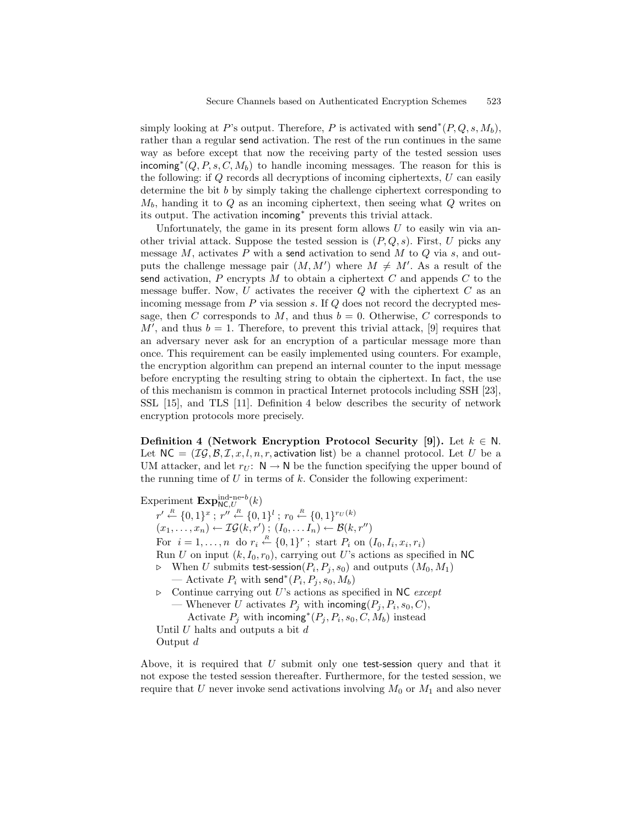simply looking at P's output. Therefore, P is activated with send<sup>\*</sup> $(P, Q, s, M_b)$ , rather than a regular send activation. The rest of the run continues in the same way as before except that now the receiving party of the tested session uses incoming<sup>\*</sup>( $Q, P, s, C, M_b$ ) to handle incoming messages. The reason for this is the following: if  $Q$  records all decryptions of incoming ciphertexts,  $U$  can easily determine the bit b by simply taking the challenge ciphertext corresponding to  $M<sub>b</sub>$ , handing it to Q as an incoming ciphertext, then seeing what Q writes on its output. The activation incoming<sup>∗</sup> prevents this trivial attack.

Unfortunately, the game in its present form allows  $U$  to easily win via another trivial attack. Suppose the tested session is  $(P,Q,s)$ . First, U picks any message  $M$ , activates  $P$  with a send activation to send  $M$  to  $Q$  via  $s$ , and outputs the challenge message pair  $(M, M')$  where  $M \neq M'$ . As a result of the send activation, P encrypts M to obtain a ciphertext C and appends C to the message buffer. Now, U activates the receiver  $Q$  with the ciphertext  $C$  as an incoming message from  $P$  via session  $s$ . If  $Q$  does not record the decrypted message, then C corresponds to M, and thus  $b = 0$ . Otherwise, C corresponds to  $M'$ , and thus  $b = 1$ . Therefore, to prevent this trivial attack, [9] requires that an adversary never ask for an encryption of a particular message more than once. This requirement can be easily implemented using counters. For example, the encryption algorithm can prepend an internal counter to the input message before encrypting the resulting string to obtain the ciphertext. In fact, the use of this mechanism is common in practical Internet protocols including SSH [23], SSL [15], and TLS [11]. Definition 4 below describes the security of network encryption protocols more precisely.

Definition 4 (Network Encryption Protocol Security [9]). Let  $k \in \mathbb{N}$ . Let  $NC = (\mathcal{IG}, \mathcal{B}, \mathcal{I}, x, l, n, r,$  activation list) be a channel protocol. Let U be a UM attacker, and let  $r_U$ :  $\mathsf{N} \to \mathsf{N}$  be the function specifying the upper bound of the running time of  $U$  in terms of  $k$ . Consider the following experiment:

Experiment  $\mathbf{Exp}_{\mathsf{NC},U}^{\text{ind-ne-}b}(k)$ 

 $r' \stackrel{R}{\leftarrow} \{0,1\}^x$ ;  $r'' \stackrel{R}{\leftarrow} \{0,1\}^l$ ;  $r_0 \stackrel{R}{\leftarrow} \{0,1\}^{r_U(k)}$  $(x_1, \ldots, x_n) \leftarrow \mathcal{IG}(k, r')$ ;  $(I_0, \ldots I_n) \leftarrow \mathcal{B}(k, r'')$ For  $i = 1, ..., n$  do  $r_i \stackrel{R}{\leftarrow} \{0,1\}^r$ ; start  $P_i$  on  $(I_0, I_i, x_i, r_i)$ Run U on input  $(k, I_0, r_0)$ , carrying out U's actions as specified in NC  $\triangleright$  When U submits test-session $(P_i, P_j, s_0)$  and outputs  $(M_0, M_1)$ — Activate  $P_i$  with send<sup>\*</sup> $(P_i, P_j, s_0, M_b)$  $\triangleright$  Continue carrying out U's actions as specified in NC except

— Whenever U activates  $P_j$  with incoming  $(P_j, P_i, s_0, C)$ , Activate  $P_j$  with incoming<sup>\*</sup> $(P_j, P_i, s_0, C, M_b)$  instead

Until  $U$  halts and outputs a bit  $d$ Output d

Above, it is required that  $U$  submit only one test-session query and that it not expose the tested session thereafter. Furthermore, for the tested session, we require that U never invoke send activations involving  $M_0$  or  $M_1$  and also never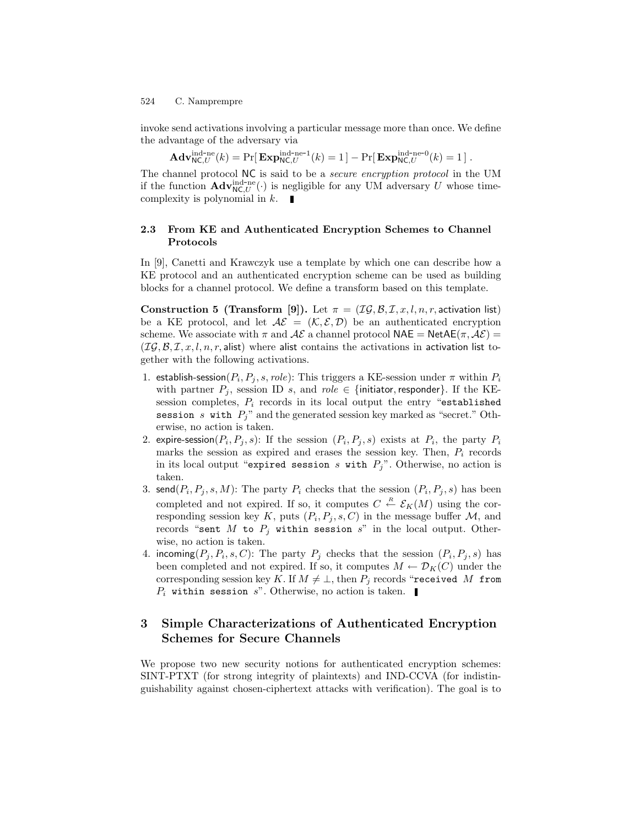invoke send activations involving a particular message more than once. We define the advantage of the adversary via

 $\mathbf{Adv}_{\mathsf{NC},U}^{\text{ind-ne}}(k) = \Pr[\mathbf{Exp}_{\mathsf{NC},U}^{\text{ind-ne-1}}(k) = 1] - \Pr[\mathbf{Exp}_{\mathsf{NC},U}^{\text{ind-ne-0}}(k) = 1]$ .

The channel protocol NC is said to be a secure encryption protocol in the UM if the function  $\mathbf{Adv}_{\mathsf{NC},U}^{\text{ind-ne}}(\cdot)$  is negligible for any UM adversary U whose timecomplexity is polynomial in  $k$ .

### 2.3 From KE and Authenticated Encryption Schemes to Channel Protocols

In [9], Canetti and Krawczyk use a template by which one can describe how a KE protocol and an authenticated encryption scheme can be used as building blocks for a channel protocol. We define a transform based on this template.

Construction 5 (Transform [9]). Let  $\pi = (\mathcal{IG}, \mathcal{B}, \mathcal{I}, x, l, n, r, \text{activation list})$ be a KE protocol, and let  $A\mathcal{E} = (\mathcal{K}, \mathcal{E}, \mathcal{D})$  be an authenticated encryption scheme. We associate with  $\pi$  and  $\mathcal{AE}$  a channel protocol  $\mathsf{NAE} = \mathsf{NetAE}(\pi, \mathcal{AE}) =$  $(\mathcal{IG}, \mathcal{B}, \mathcal{I}, x, l, n, r,$  alist) where alist contains the activations in activation list together with the following activations.

- 1. establish-session $(P_i, P_j, s, role)$ : This triggers a KE-session under  $\pi$  within  $P_i$ with partner  $P_j$ , session ID s, and  $role \in \{$ initiator, responder $\}$ . If the KEsession completes,  $P_i$  records in its local output the entry "established session s with  $P_j$ " and the generated session key marked as "secret." Otherwise, no action is taken.
- 2. expire-session $(P_i, P_j, s)$ : If the session  $(P_i, P_j, s)$  exists at  $P_i$ , the party  $P_i$ marks the session as expired and erases the session key. Then,  $P_i$  records in its local output "expired session s with  $P_j$ ". Otherwise, no action is taken.
- 3. send $(P_i, P_j, s, M)$ : The party  $P_i$  checks that the session  $(P_i, P_j, s)$  has been completed and not expired. If so, it computes  $C \stackrel{R}{\leftarrow} \mathcal{E}_K(M)$  using the corresponding session key K, puts  $(P_i, P_j, s, C)$  in the message buffer  $\mathcal{M}$ , and records "sent M to  $P_j$  within session s" in the local output. Otherwise, no action is taken.
- 4. incoming  $(P_j, P_i, s, C)$ : The party  $P_j$  checks that the session  $(P_i, P_j, s)$  has been completed and not expired. If so, it computes  $M \leftarrow \mathcal{D}_K(C)$  under the corresponding session key K. If  $M \neq \bot$ , then  $P_j$  records "received M from  $P_i$  within session s". Otherwise, no action is taken.

# 3 Simple Characterizations of Authenticated Encryption Schemes for Secure Channels

We propose two new security notions for authenticated encryption schemes: SINT-PTXT (for strong integrity of plaintexts) and IND-CCVA (for indistinguishability against chosen-ciphertext attacks with verification). The goal is to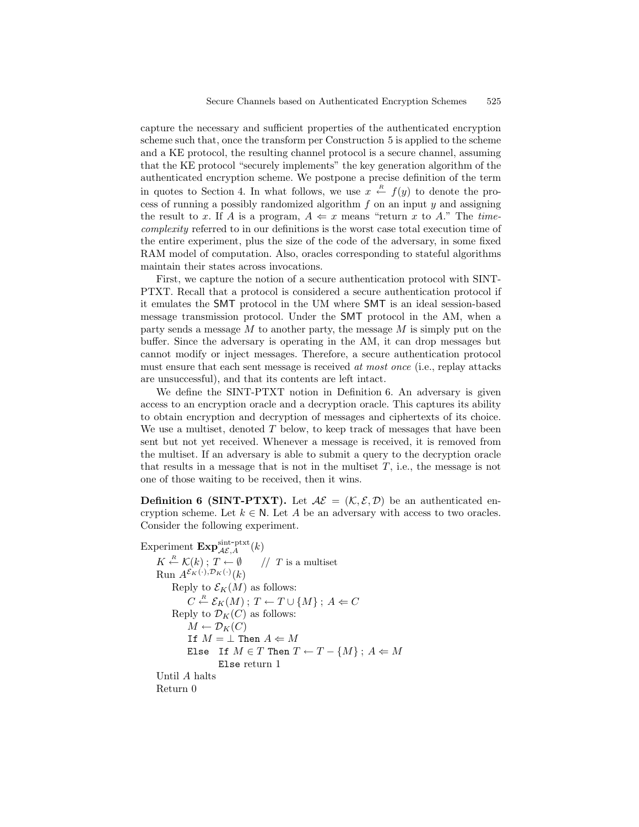capture the necessary and sufficient properties of the authenticated encryption scheme such that, once the transform per Construction 5 is applied to the scheme and a KE protocol, the resulting channel protocol is a secure channel, assuming that the KE protocol "securely implements" the key generation algorithm of the authenticated encryption scheme. We postpone a precise definition of the term in quotes to Section 4. In what follows, we use  $x \stackrel{R}{\leftarrow} f(y)$  to denote the process of running a possibly randomized algorithm  $f$  on an input  $y$  and assigning the result to x. If A is a program,  $A \Leftarrow x$  means "return x to A." The timecomplexity referred to in our definitions is the worst case total execution time of the entire experiment, plus the size of the code of the adversary, in some fixed RAM model of computation. Also, oracles corresponding to stateful algorithms maintain their states across invocations.

First, we capture the notion of a secure authentication protocol with SINT-PTXT. Recall that a protocol is considered a secure authentication protocol if it emulates the SMT protocol in the UM where SMT is an ideal session-based message transmission protocol. Under the SMT protocol in the AM, when a party sends a message  $M$  to another party, the message  $M$  is simply put on the buffer. Since the adversary is operating in the AM, it can drop messages but cannot modify or inject messages. Therefore, a secure authentication protocol must ensure that each sent message is received at most once (i.e., replay attacks are unsuccessful), and that its contents are left intact.

We define the SINT-PTXT notion in Definition 6. An adversary is given access to an encryption oracle and a decryption oracle. This captures its ability to obtain encryption and decryption of messages and ciphertexts of its choice. We use a multiset, denoted  $T$  below, to keep track of messages that have been sent but not yet received. Whenever a message is received, it is removed from the multiset. If an adversary is able to submit a query to the decryption oracle that results in a message that is not in the multiset  $T$ , i.e., the message is not one of those waiting to be received, then it wins.

**Definition 6 (SINT-PTXT).** Let  $A\mathcal{E} = (\mathcal{K}, \mathcal{E}, \mathcal{D})$  be an authenticated encryption scheme. Let  $k \in \mathbb{N}$ . Let A be an adversary with access to two oracles. Consider the following experiment.

```
Experiment \text{Exp}_{\mathcal{AE},A}^{\text{sint-ptxt}}(k)K \stackrel{R}{\leftarrow} \mathcal{K}(k); T \leftarrow \emptyset // T is a multiset
Run A^{\mathcal{E}_K(\cdot), \mathcal{D}_K(\cdot)}(k)Reply to \mathcal{E}_K(M) as follows:
            C \stackrel{R}{\leftarrow} \mathcal{E}_K(M); T \leftarrow T \cup \{M\}; A \leftarrow CReply to \mathcal{D}_K(C) as follows:
            M \leftarrow \mathcal{D}_K(C)If M = \perp Then A \Leftarrow MElse If M \in T Then T \leftarrow T - \{M\}; A \leftarrow MElse return 1
Until A halts
Return 0
```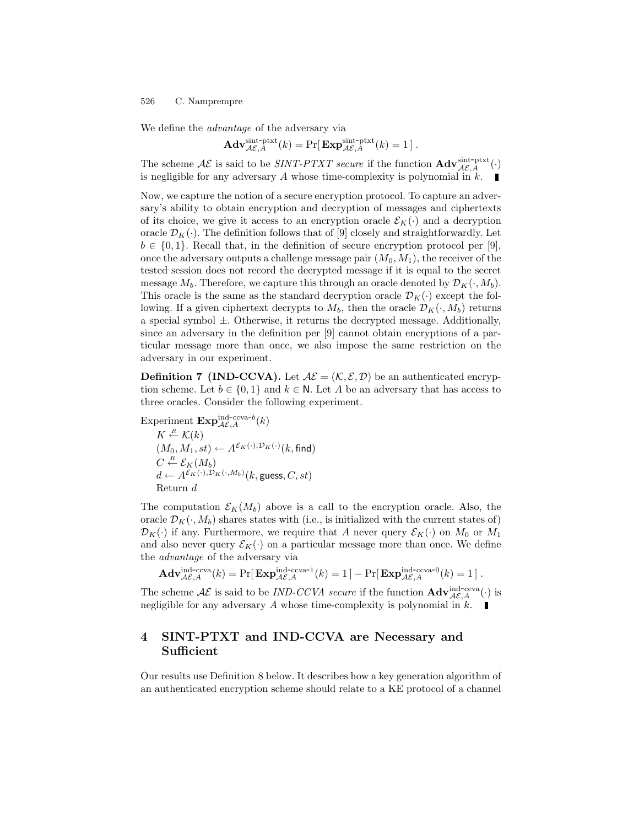We define the advantage of the adversary via

$$
\mathbf{Adv}_{\mathcal{AE},A}^{\text{sint-ptxt}}(k) = \Pr[\mathbf{Exp}_{\mathcal{AE},A}^{\text{sint-ptxt}}(k) = 1].
$$

The scheme  $A\mathcal{E}$  is said to be *SINT-PTXT secure* if the function  $\mathbf{Adv}_{\mathcal{A}\mathcal{E},A}^{\text{sint-ptxt}}(\cdot)$ is negligible for any adversary A whose time-complexity is polynomial in  $k$ .

Now, we capture the notion of a secure encryption protocol. To capture an adversary's ability to obtain encryption and decryption of messages and ciphertexts of its choice, we give it access to an encryption oracle  $\mathcal{E}_K(\cdot)$  and a decryption oracle  $\mathcal{D}_K(\cdot)$ . The definition follows that of [9] closely and straightforwardly. Let  $b \in \{0,1\}$ . Recall that, in the definition of secure encryption protocol per [9], once the adversary outputs a challenge message pair  $(M_0, M_1)$ , the receiver of the tested session does not record the decrypted message if it is equal to the secret message  $M_b$ . Therefore, we capture this through an oracle denoted by  $\mathcal{D}_K(\cdot, M_b)$ . This oracle is the same as the standard decryption oracle  $\mathcal{D}_K(\cdot)$  except the following. If a given ciphertext decrypts to  $M_b$ , then the oracle  $\mathcal{D}_K(\cdot, M_b)$  returns a special symbol  $\pm$ . Otherwise, it returns the decrypted message. Additionally, since an adversary in the definition per [9] cannot obtain encryptions of a particular message more than once, we also impose the same restriction on the adversary in our experiment.

**Definition 7 (IND-CCVA).** Let  $\mathcal{AE} = (\mathcal{K}, \mathcal{E}, \mathcal{D})$  be an authenticated encryption scheme. Let  $b \in \{0,1\}$  and  $k \in \mathbb{N}$ . Let A be an adversary that has access to three oracles. Consider the following experiment.

Experiment  $\mathbf{Exp}_{\mathcal{AE},A}^{\text{ind-ccva-}b}(k)$  $K \stackrel{R}{\leftarrow} \mathcal{K}(k)$  $(M_0, M_1, st) \leftarrow A^{\mathcal{E}_K(\cdot), \mathcal{D}_K(\cdot)}(k, \text{find})$  $C \stackrel{R}{\leftarrow} \mathcal{E}_K(M_b)$  $d \leftarrow A^{\mathcal{E}_K(\cdot), \mathcal{D}_K(\cdot, M_b)}(k, \textsf{guess}, C, st)$ Return d

The computation  $\mathcal{E}_K(M_b)$  above is a call to the encryption oracle. Also, the oracle  $\mathcal{D}_K(\cdot, M_b)$  shares states with (i.e., is initialized with the current states of)  $\mathcal{D}_K(\cdot)$  if any. Furthermore, we require that A never query  $\mathcal{E}_K(\cdot)$  on  $M_0$  or  $M_1$ and also never query  $\mathcal{E}_K(\cdot)$  on a particular message more than once. We define the advantage of the adversary via

$$
\mathbf{Adv}_{\mathcal{AE},A}^{\text{ind-ccva}}(k) = \Pr[\mathbf{Exp}_{\mathcal{AE},A}^{\text{ind-ccva-1}}(k) = 1] - \Pr[\mathbf{Exp}_{\mathcal{AE},A}^{\text{ind-ccva-0}}(k) = 1].
$$

The scheme  $A\mathcal{E}$  is said to be *IND-CCVA secure* if the function  $\mathbf{Adv}_{\mathcal{A}\mathcal{E},A}^{\text{ind-ccva}}(\cdot)$  is negligible for any adversary A whose time-complexity is polynomial in  $k$ .

# 4 SINT-PTXT and IND-CCVA are Necessary and Sufficient

Our results use Definition 8 below. It describes how a key generation algorithm of an authenticated encryption scheme should relate to a KE protocol of a channel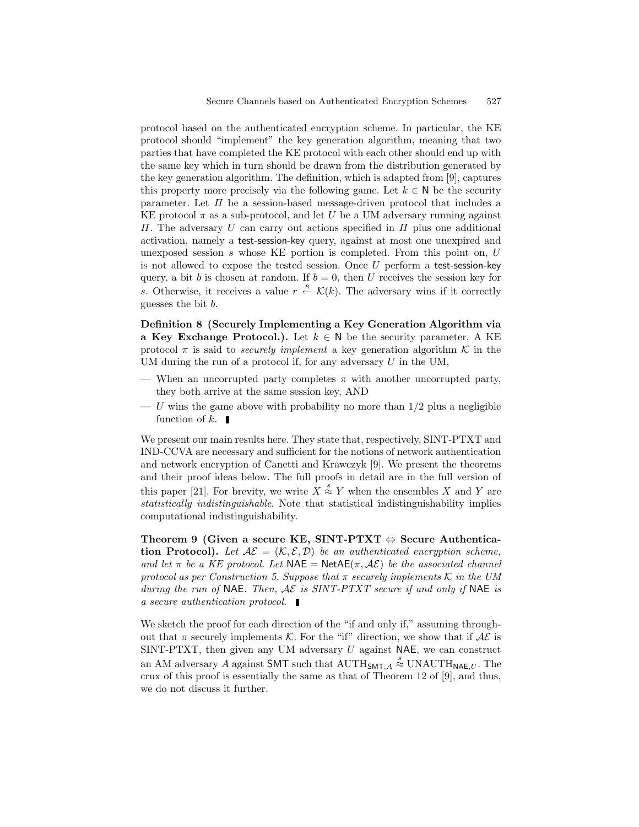protocol based on the authenticated encryption scheme. In particular, the KE protocol should "implement" the key generation algorithm, meaning that two parties that have completed the KE protocol with each other should end up with the same key which in turn should be drawn from the distribution generated by the key generation algorithm. The definition, which is adapted from [9], captures this property more precisely via the following game. Let  $k \in \mathbb{N}$  be the security parameter. Let  $\Pi$  be a session-based message-driven protocol that includes a KE protocol  $\pi$  as a sub-protocol, and let U be a UM adversary running against  $\Pi$ . The adversary U can carry out actions specified in  $\Pi$  plus one additional activation, namely a test-session-key query, against at most one unexpired and unexposed session  $s$  whose KE portion is completed. From this point on,  $U$ is not allowed to expose the tested session. Once  $U$  perform a test-session-key query, a bit b is chosen at random. If  $b = 0$ , then U receives the session key for s. Otherwise, it receives a value  $r \stackrel{R}{\leftarrow} \mathcal{K}(k)$ . The adversary wins if it correctly guesses the bit b.

Definition 8 (Securely Implementing a Key Generation Algorithm via a Key Exchange Protocol.). Let  $k \in \mathbb{N}$  be the security parameter. A KE protocol  $\pi$  is said to *securely implement* a key generation algorithm  $\mathcal K$  in the UM during the run of a protocol if, for any adversary  $U$  in the UM,

- When an uncorrupted party completes  $\pi$  with another uncorrupted party, they both arrive at the same session key, AND
- $-$  U wins the game above with probability no more than  $1/2$  plus a negligible function of  $k$ .

We present our main results here. They state that, respectively, SINT-PTXT and IND-CCVA are necessary and sufficient for the notions of network authentication and network encryption of Canetti and Krawczyk [9]. We present the theorems and their proof ideas below. The full proofs in detail are in the full version of this paper [21]. For brevity, we write  $\overline{X} \stackrel{s}{\approx} Y$  when the ensembles X and Y are statistically indistinguishable. Note that statistical indistinguishability implies computational indistinguishability.

Theorem 9 (Given a secure KE, SINT-PTXT  $\Leftrightarrow$  Secure Authentication Protocol). Let  $A\mathcal{E} = (\mathcal{K}, \mathcal{E}, \mathcal{D})$  be an authenticated encryption scheme, and let  $\pi$  be a KE protocol. Let  $NAE = NetAE(\pi, \mathcal{AE})$  be the associated channel protocol as per Construction 5. Suppose that  $\pi$  securely implements K in the UM during the run of NAE. Then,  $A\mathcal{E}$  is SINT-PTXT secure if and only if NAE is a secure authentication protocol.

We sketch the proof for each direction of the "if and only if," assuming throughout that  $\pi$  securely implements K. For the "if" direction, we show that if  $A\mathcal{E}$  is SINT-PTXT, then given any UM adversary  $U$  against NAE, we can construct an AM adversary A against SMT such that  $\text{AUTH}_{\text{SMT},A} \stackrel{s}{\approx} \text{UNAUTH}_{\text{NAE},U}$ . The crux of this proof is essentially the same as that of Theorem 12 of [9], and thus, we do not discuss it further.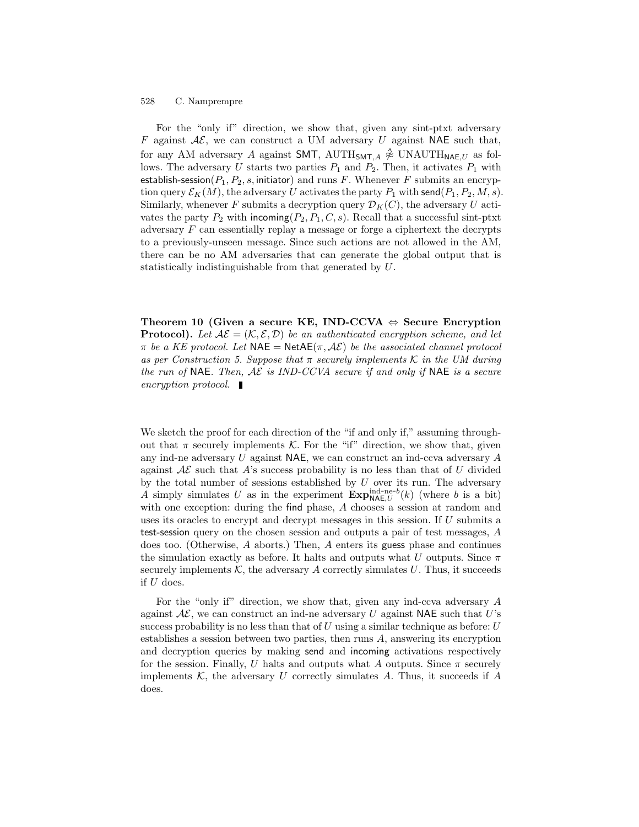For the "only if" direction, we show that, given any sint-ptxt adversary F against  $A\mathcal{E}$ , we can construct a UM adversary U against NAE such that, for any AM adversary A against SMT,  $\text{AUTH}_{\text{SMT},A} \overset{\text{\$}}{\not\approx} \text{UNAUTH}_{\text{NAE},U}$  as follows. The adversary U starts two parties  $P_1$  and  $P_2$ . Then, it activates  $P_1$  with establish-session( $P_1, P_2, s$ , initiator) and runs F. Whenever F submits an encryption query  $\mathcal{E}_K(M)$ , the adversary U activates the party  $P_1$  with send $(P_1, P_2, M, s)$ . Similarly, whenever F submits a decryption query  $\mathcal{D}_K(C)$ , the adversary U activates the party  $P_2$  with incoming( $P_2, P_1, C, s$ ). Recall that a successful sint-ptxt adversary  $F$  can essentially replay a message or forge a ciphertext the decrypts to a previously-unseen message. Since such actions are not allowed in the AM, there can be no AM adversaries that can generate the global output that is statistically indistinguishable from that generated by U.

Theorem 10 (Given a secure KE, IND-CCVA  $\Leftrightarrow$  Secure Encryption **Protocol).** Let  $A\mathcal{E} = (\mathcal{K}, \mathcal{E}, \mathcal{D})$  be an authenticated encryption scheme, and let  $\pi$  be a KE protocol. Let  $NAE = NetAE(\pi, \mathcal{AE})$  be the associated channel protocol as per Construction 5. Suppose that  $\pi$  securely implements K in the UM during the run of NAE. Then,  $A\mathcal{E}$  is IND-CCVA secure if and only if NAE is a secure encryption protocol.

We sketch the proof for each direction of the "if and only if," assuming throughout that  $\pi$  securely implements K. For the "if" direction, we show that, given any ind-ne adversary U against NAE, we can construct an ind-ccva adversary A against  $A\mathcal{E}$  such that A's success probability is no less than that of U divided by the total number of sessions established by  $U$  over its run. The adversary A simply simulates U as in the experiment  $\mathbf{Exp}_{\mathsf{NAE},U}^{\text{ind-ne-}b}(k)$  (where b is a bit) with one exception: during the find phase, A chooses a session at random and uses its oracles to encrypt and decrypt messages in this session. If U submits a test-session query on the chosen session and outputs a pair of test messages, A does too. (Otherwise, A aborts.) Then, A enters its guess phase and continues the simulation exactly as before. It halts and outputs what U outputs. Since  $\pi$ securely implements  $K$ , the adversary A correctly simulates U. Thus, it succeeds if  $U$  does.

For the "only if" direction, we show that, given any ind-ccva adversary  $A$ against  $A\mathcal{E}$ , we can construct an ind-ne adversary U against NAE such that U's success probability is no less than that of  $U$  using a similar technique as before:  $U$ establishes a session between two parties, then runs A, answering its encryption and decryption queries by making send and incoming activations respectively for the session. Finally, U halts and outputs what A outputs. Since  $\pi$  securely implements  $K$ , the adversary U correctly simulates A. Thus, it succeeds if A does.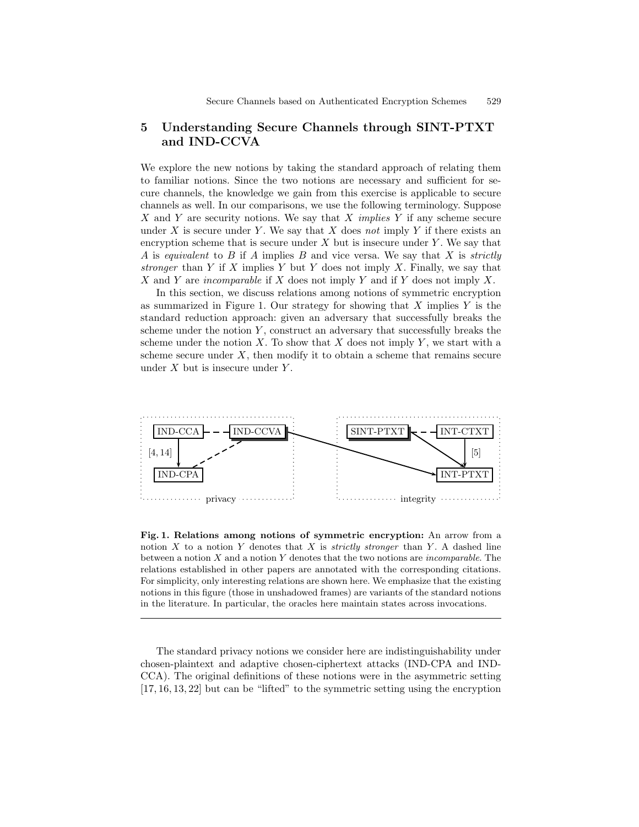# 5 Understanding Secure Channels through SINT-PTXT and IND-CCVA

We explore the new notions by taking the standard approach of relating them to familiar notions. Since the two notions are necessary and sufficient for secure channels, the knowledge we gain from this exercise is applicable to secure channels as well. In our comparisons, we use the following terminology. Suppose X and Y are security notions. We say that X implies Y if any scheme secure under X is secure under Y. We say that X does not imply Y if there exists an encryption scheme that is secure under  $X$  but is insecure under  $Y$ . We say that A is equivalent to B if A implies B and vice versa. We say that X is strictly stronger than Y if X implies Y but Y does not imply X. Finally, we say that X and Y are incomparable if X does not imply Y and if Y does not imply X.

In this section, we discuss relations among notions of symmetric encryption as summarized in Figure 1. Our strategy for showing that  $X$  implies  $Y$  is the standard reduction approach: given an adversary that successfully breaks the scheme under the notion  $Y$ , construct an adversary that successfully breaks the scheme under the notion  $X$ . To show that  $X$  does not imply  $Y$ , we start with a scheme secure under  $X$ , then modify it to obtain a scheme that remains secure under  $X$  but is insecure under  $Y$ .



Fig. 1. Relations among notions of symmetric encryption: An arrow from a notion  $X$  to a notion  $Y$  denotes that  $X$  is *strictly stronger* than  $Y$ . A dashed line between a notion  $X$  and a notion  $Y$  denotes that the two notions are *incomparable*. The relations established in other papers are annotated with the corresponding citations. For simplicity, only interesting relations are shown here. We emphasize that the existing notions in this figure (those in unshadowed frames) are variants of the standard notions in the literature. In particular, the oracles here maintain states across invocations.

The standard privacy notions we consider here are indistinguishability under chosen-plaintext and adaptive chosen-ciphertext attacks (IND-CPA and IND-CCA). The original definitions of these notions were in the asymmetric setting [17, 16, 13, 22] but can be "lifted" to the symmetric setting using the encryption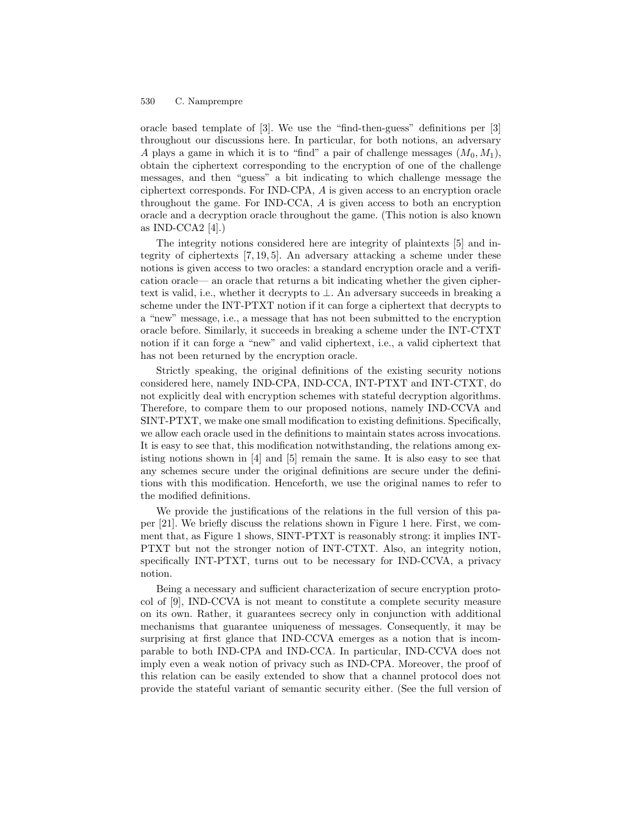oracle based template of [3]. We use the "find-then-guess" definitions per [3] throughout our discussions here. In particular, for both notions, an adversary A plays a game in which it is to "find" a pair of challenge messages  $(M_0, M_1)$ , obtain the ciphertext corresponding to the encryption of one of the challenge messages, and then "guess" a bit indicating to which challenge message the ciphertext corresponds. For IND-CPA, A is given access to an encryption oracle throughout the game. For IND-CCA, A is given access to both an encryption oracle and a decryption oracle throughout the game. (This notion is also known as IND-CCA2 [4].)

The integrity notions considered here are integrity of plaintexts [5] and integrity of ciphertexts  $[7, 19, 5]$ . An adversary attacking a scheme under these notions is given access to two oracles: a standard encryption oracle and a verification oracle— an oracle that returns a bit indicating whether the given ciphertext is valid, i.e., whether it decrypts to ⊥. An adversary succeeds in breaking a scheme under the INT-PTXT notion if it can forge a ciphertext that decrypts to a "new" message, i.e., a message that has not been submitted to the encryption oracle before. Similarly, it succeeds in breaking a scheme under the INT-CTXT notion if it can forge a "new" and valid ciphertext, i.e., a valid ciphertext that has not been returned by the encryption oracle.

Strictly speaking, the original definitions of the existing security notions considered here, namely IND-CPA, IND-CCA, INT-PTXT and INT-CTXT, do not explicitly deal with encryption schemes with stateful decryption algorithms. Therefore, to compare them to our proposed notions, namely IND-CCVA and SINT-PTXT, we make one small modification to existing definitions. Specifically, we allow each oracle used in the definitions to maintain states across invocations. It is easy to see that, this modification notwithstanding, the relations among existing notions shown in [4] and [5] remain the same. It is also easy to see that any schemes secure under the original definitions are secure under the definitions with this modification. Henceforth, we use the original names to refer to the modified definitions.

We provide the justifications of the relations in the full version of this paper [21]. We briefly discuss the relations shown in Figure 1 here. First, we comment that, as Figure 1 shows, SINT-PTXT is reasonably strong: it implies INT-PTXT but not the stronger notion of INT-CTXT. Also, an integrity notion, specifically INT-PTXT, turns out to be necessary for IND-CCVA, a privacy notion.

Being a necessary and sufficient characterization of secure encryption protocol of [9], IND-CCVA is not meant to constitute a complete security measure on its own. Rather, it guarantees secrecy only in conjunction with additional mechanisms that guarantee uniqueness of messages. Consequently, it may be surprising at first glance that IND-CCVA emerges as a notion that is incomparable to both IND-CPA and IND-CCA. In particular, IND-CCVA does not imply even a weak notion of privacy such as IND-CPA. Moreover, the proof of this relation can be easily extended to show that a channel protocol does not provide the stateful variant of semantic security either. (See the full version of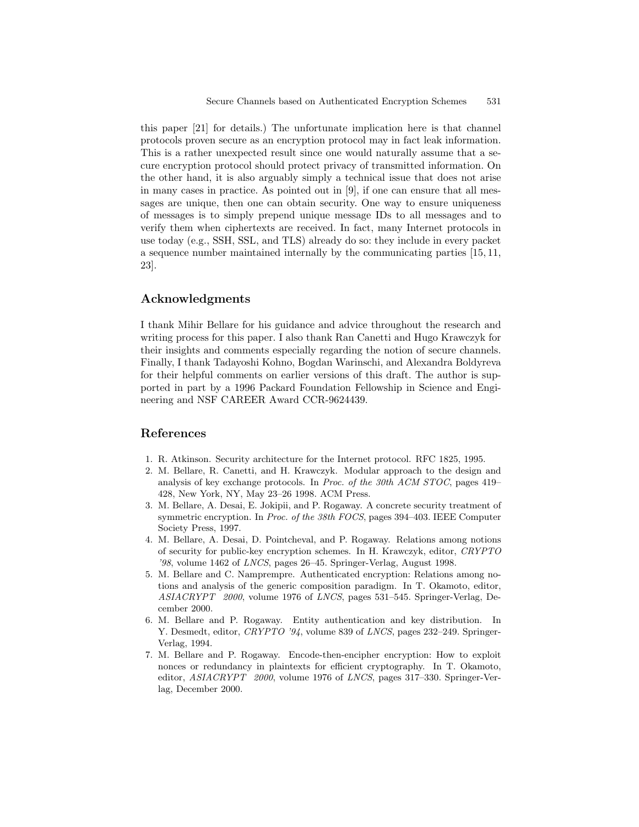this paper [21] for details.) The unfortunate implication here is that channel protocols proven secure as an encryption protocol may in fact leak information. This is a rather unexpected result since one would naturally assume that a secure encryption protocol should protect privacy of transmitted information. On the other hand, it is also arguably simply a technical issue that does not arise in many cases in practice. As pointed out in [9], if one can ensure that all messages are unique, then one can obtain security. One way to ensure uniqueness of messages is to simply prepend unique message IDs to all messages and to verify them when ciphertexts are received. In fact, many Internet protocols in use today (e.g., SSH, SSL, and TLS) already do so: they include in every packet a sequence number maintained internally by the communicating parties [15, 11, 23].

## Acknowledgments

I thank Mihir Bellare for his guidance and advice throughout the research and writing process for this paper. I also thank Ran Canetti and Hugo Krawczyk for their insights and comments especially regarding the notion of secure channels. Finally, I thank Tadayoshi Kohno, Bogdan Warinschi, and Alexandra Boldyreva for their helpful comments on earlier versions of this draft. The author is supported in part by a 1996 Packard Foundation Fellowship in Science and Engineering and NSF CAREER Award CCR-9624439.

## References

- 1. R. Atkinson. Security architecture for the Internet protocol. RFC 1825, 1995.
- 2. M. Bellare, R. Canetti, and H. Krawczyk. Modular approach to the design and analysis of key exchange protocols. In Proc. of the 30th ACM STOC, pages 419– 428, New York, NY, May 23–26 1998. ACM Press.
- 3. M. Bellare, A. Desai, E. Jokipii, and P. Rogaway. A concrete security treatment of symmetric encryption. In Proc. of the 38th FOCS, pages 394–403. IEEE Computer Society Press, 1997.
- 4. M. Bellare, A. Desai, D. Pointcheval, and P. Rogaway. Relations among notions of security for public-key encryption schemes. In H. Krawczyk, editor, CRYPTO '98, volume 1462 of LNCS, pages 26–45. Springer-Verlag, August 1998.
- 5. M. Bellare and C. Namprempre. Authenticated encryption: Relations among notions and analysis of the generic composition paradigm. In T. Okamoto, editor, ASIACRYPT 2000, volume 1976 of LNCS, pages 531–545. Springer-Verlag, December 2000.
- 6. M. Bellare and P. Rogaway. Entity authentication and key distribution. In Y. Desmedt, editor, CRYPTO '94, volume 839 of LNCS, pages 232-249. Springer-Verlag, 1994.
- 7. M. Bellare and P. Rogaway. Encode-then-encipher encryption: How to exploit nonces or redundancy in plaintexts for efficient cryptography. In T. Okamoto, editor, ASIACRYPT 2000, volume 1976 of LNCS, pages 317–330. Springer-Verlag, December 2000.